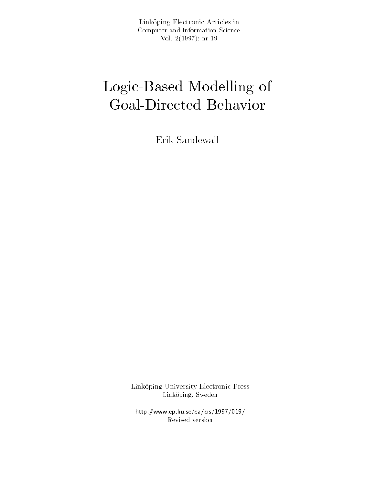Link-oping Electronic Articles in Computer and Information Science $V \cup I$ .  $\Delta$  (  $I \cup J \cup I$  ). III  $I \cup J$ 

# Logic-Based Modelling of Government Behavior behavior behavior behavior behavior deserts and controlled behavior behavior behavioren be

Erik Sandewall

Link-oping University Electronic Press Link oping Sweden

http-wwwepliuseeacis Revised version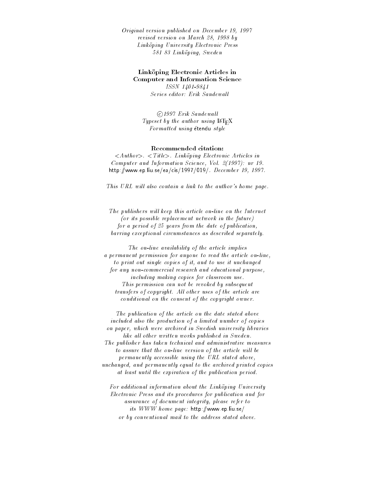Original version published on December - revised version on March - by Linkoping University Electronic Press oos oo saariisay is saarii

### Link-oping Electronic Articles in Computer and Information Science

ISSN ---Series editor: Erik Sandewall

©1997 Erik Sandewall Typeset by the author using  $\text{IAT}_\text{F}X$ Formatted using étendu style

### Recommended citation

Authority Authority Constituting Electronic Articles in Articles Computer and Information Science Vol - nr http://www.archive.com/www.archive.com/www.archive.com/www.archive.com/www.archive.com/www.archive.com/www.archive.com/www.archive.com/www.archive.com/www.archive.com/www.archive.com/www.archive.com/www.archive.com/www.arc

This URL will also contain a link to the author's home page.

The publishers will keep this article on-line on the Internet  $($ or its possible replacement network in the future $)$ for a period of  $25$  years from the date of publication, barring exceptional circumstances as described separately

The on
line availability of the article implies a permanent permission for anyone to read the article on
line to print out single copies of it, and to use it unchanged for any non
commercial research and educational purpose including making copies for classroom use This permission can not be revoked by subsequent transfers of copyright. All other uses of the article are conditional on the consent of the copyright owner

The publication of the article on the date stated above included also the production of a limited number of copies on paper, which were archived in Swedish university libraries like all other written works published in Sweden. The publisher has taken technical and administrative measures to assure that the on-line version of the article will be permanently accessible using the URL stated above unchanged, and permanently equal to the archived printed copies at least until the expiration of the publication period

For additional information about the Linkoping University Electronic Press and its procedures for publication and for assurance of document integrity, please refer to its www.www.prg.com.com/www.mager.com/ or by conventional mail to the address stated above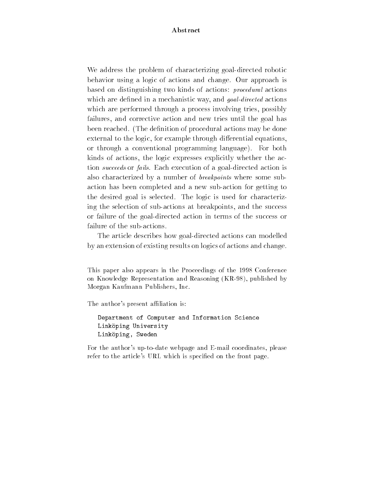# Abstract

We address the problem of characterizing goal-directed robotic behavior using a logic of actions and change Our approach is based on distinguishing two kinds of actions: *procedural* actions which are dictined in a mechanistic way and goal-action actions which are performed through a process involving tries, possibly failures, and corrective action and new tries until the goal has been reached. (The definition of procedural actions may be done external to the logic, for example through differential equations, or through a conventional programming language For both kinds of actions, the logic expresses explicitly whether the action *succeeds* or *fails*. Each execution of a goal-directed action is also characterized by a number of *breakpoints* where some subaction has been completed and a new sub-action for getting to the desired goal is selected. The logic is used for characterizing the selection of sub-actions at breakpoints, and the success or failure of the goaldirected action in terms of the success or failure of the sub-actions.

The article describes how goal-directed actions can modelled by an extension of existing results on logics of actions and change

This paper also appears in the Proceedings of the 1998 Conference on Knowledge Representation and Reasoning (KR-98), published by Morgan Kaufmann Publishers, Inc.

The author's present affiliation is:

Department of Computer and Information ScienceLink-oping Universityrinkobink' pmeden

For the author's up-to-date webpage and E-mail coordinates, please refer to the article's URL which is specified on the front page.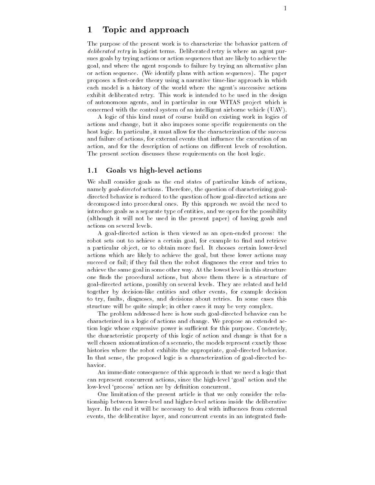# Topic and approach

The purpose of the present work is to characterize the behavior pattern of deliberated retry in logicist terms- Deliberated retry is where an agent pur sues goals by trying actions or action sequences that are likely to achieve the goal and where the agent responds to failure by trying an alternative plan or action sequence-in sequence-in-the paper with a sequence-in-the paper with a sequences-in-the-paper with a proposes a first-order theory using a narrative time-line approach in which each model is a history of the world where the agent's successive actions exhibit deliberated retry- This work is intended to be used in the design of autonomous agents and in particular in our WITAS project which is concerned with the control system of an intelligent airborne vehicle  $(UAV)$ .

A logic of this kind must of course build on existing work in logics of actions and change, but it also imposes some specific requirements on the host logic- In particular it must allow for the characterization of the success and failure of actions, for external events that influence the execution of an action and for the description of actions on di erent levels of resolution-The present section discusses these requirements on the host logic.

#### $1.1$ Goals vs high-level actions

We shall consider goals as the end states of particular kinds of actions actions, goal actions-actions-communicated actions-actions-actions-actions-actionsdirected behavior is reduced to the question of how goal-directed actions are accessing into a series procedures into the new series approach we avoid the need the need to introduce goals as a separate type of entities and we open for the possibility (although it will not be used in the present paper) of having goals and actions on several levels-

A goal-directed action is then viewed as an open-ended process: the robot sets out to achieve a certain goal, for example to find and retrieve a particular object or to obtain more fuel- It chooses certain lowerlevel actions which are likely to achieve the goal but these lower actions may succeed or fail; if they fail then the robot diagnoses the error and tries to achieve the same goal in some other way- At the lowest level in this structure one finds the procedural actions, but above them there is a structure of  $\Box$ together by decision-like entities and other events, for example decision to try faults diagnoses are decisions about retries- the some cases this cases structure will be quite simple; in other cases it may be very complex.

The problem addressed here is how such goal-directed behavior can be characterized in a logic of actions and change- We propose an extended ac tion logic whose expressive power is su
cient for this purpose- Concretely the characteristic property of this logic of action and change is that for a well chosen axiomatization of a scenario, the models represent exactly those histories where the robot exhibits the appropriate, goal-directed behavior. In that sense, the proposed logic is a characterization of goal-directed behavior.

An immediate consequence of this approach is that we need a logic that can represent concurrent actions, since the high-level 'goal' action and the low-level 'process' action are by definition concurrent.

One limitation of the present article is that we only consider the rela tionship between lowerlevel and higherlevel actions inside the deliberative layer- In the change it will be necessary to deal with include the second contract from  $\sim$ events, the deliberative layer, and concurrent events in an integrated fash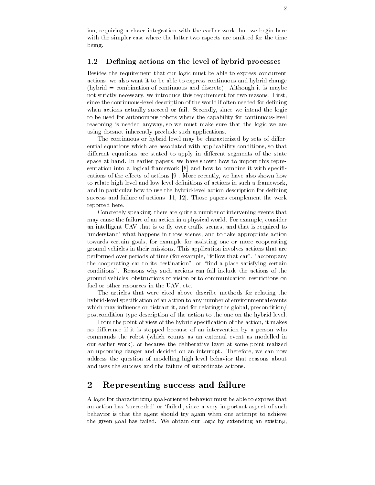$\frac{2}{\pi}$ <br>ion, requiring a closer integration with the earlier work, but we begin here with the simpler case where the latter two aspects are omitted for the time being-

### 1.2 Defining actions on the level of hybrid processes

Besides the requirement that our logic must be able to express concurrent actions, we also want it to be able to express continuous and hybrid change hybrid combination of continuous and discrete- Although it is maybe not strictly necessary we introduce this requirement for two reasons- First since the continuous-level description of the world if often needed for defining when actions actions, succeed or fails since  $\mu$  since we intend the logic to be used for autonomous robots where the capability for continuous-level reasoning is needed anyway, so we must make sure that the logic we are using doesnot inherently preclude such applications-

The continuous or hybrid level may be characterized by sets of di er ential equations which are associated with applicability conditions so that discussions are discussed to apply in discussions of the state state of the state of the state of the state of space at moment we common papers , we make the most the mongole than a part that sentation into a logical framework  $[8]$  and how to combine it with specifications of the e ects of actions - More recently we have also shown how to relate high-level and low-level definitions of actions in such a framework, and in particular how to use the hybrid-level action description for defining success and failure of actions - Those papers complement the work reported here.

Concretely speaking, there are quite a number of intervening events that may cause the failure of an action in a physical world- For example consider an intelligent UAV that is to fly over traffic scenes, and that is required to 'understand' what happens in those scenes, and to take appropriate action towards certain goals, for example for assisting one or more cooperating ground vehicles in this missions-that are specification involves actions that are  $\sim$ performed over periods of time (for example, "follow that car", "accompany the cooperating car to its destination", or "find a place satisfying certain conditions- Reasons why such actions can fail include the actions of the ground vehicles obstructions to vision or to communication restrictions on fuel or other resources in the UAV, etc.

The articles that were cited above describe methods for relating the hybrid-level specification of an action to any number of environmental events which may influence or distract it, and for relating the global, precondition/ postcondition type description of the action to the one on the hybrid level-

From the point of view of the hybrid specification of the action, it makes no die erence if it is stopped because of an intervention by a person who are an intervention by a person who commands the robot (which counts as an external event as modelled in our earlier work), or because the deliberative layer at some point realized and approximate danger and decided on an interrupted on an interruptional contracts we can now an interrupted address the question of modelling high-level behavior that reasons about and uses the success and the failure of subordinate actions-

#### $\bf{2}$ Representing success and failure

A logic for characterizing goaloriented behavior must be able to express that an action has 'succeeded' or 'failed', since a very important aspect of such behavior is that the agent should try again when one attempt to achieve the given give fails failed in the failure of the state of the streeting and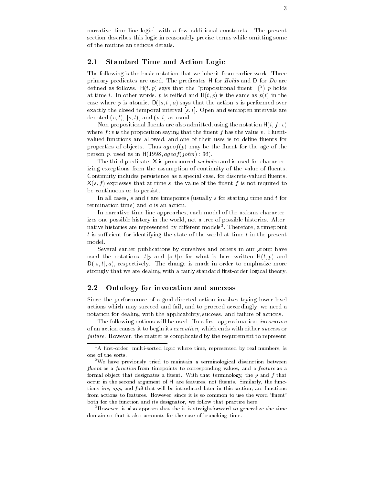narrative time-line-logic" with a lew additional constructs. The present  $$ section describes this logic in reasonably precise terms while omitting some of the routine an tedious details-

#### $2.1$ Standard Time and Action Logic

 $\mathbf \Gamma$  the basic notation that we inherit from earlier workprimary predicates are used- The predicates H for Holds and D for Do are denned as follows.  $\mathsf{\Pi}(t, p)$  says that the -propositional fluent -(")  $p$  holds -at time to me the same words p is reied a same as parameter words parameters. case where p is atomic-  $\equiv$  (performed only that the action at is performed over exactly the closed temporal interval s t- Open and semiopen intervals are denoted  $(s, t)$ ,  $(s, t)$ , and  $(s, t]$  as usual.

Non-propositional fluents are also admitted, using the notation  $H(t, f : v)$ where f is the proposition say in the proposition say in the value v-rather that the value v-rather that the v valued functions are allowed, and one of their uses is to define fluents for properties of objects- Thus ageof p may be the uent for the age of the person p, used as in  $H(1998, age of (john) : 36)$ .

The third predicate, X is pronounced *occludes* and is used for characterizing exceptions from the assumption of continuity of the value of fluents. Continuity includes persistence as a special case, for discrete-valued fluents.  $X(s, f)$  expresses that at time s, the value of the fluent f is not required to be continuous or to persist.

In all cases,  $s$  and  $t$  are timepoints (usually  $s$  for starting time and  $t$  for termination time) and  $a$  is an action.

In narrative time-line approaches, each model of the axioms characterizes one possible history in the world not a tree of possible histories- Alter native histories are represented by different models". Therefore, a timepoint th  $t$  is sufficient for identifying the state of the world at time  $t$  in the present model.

Several earlier publications by ourselves and others in our group have used the notations  $[t]$  and  $[s, t]$  for what is here written  $H(t, p)$  and Ds t a respectively- The change is made in order to emphasize more strongly that we are dealing with a fairly standard first-order logical theory.

#### $2.2$ Ontology for invocation and success

Since the performance of a goal-directed action involves trying lower-level actions which may succeed and fail and to proceed accordingly we need a notation for dealing with the applicability, success, and failure of actions.

The following notions will be used- To a rst approximation invocation of an action causes it to begin its execution, which ends with either success or failure- However the matter is complicated by the requirement to represent

<sup>-</sup> A first-order, multi-sorted logic where time, represented by real numbers, is one of the sorts

<sup>-</sup>We have previously tried to maintain a terminological distinction between fluent as a function from timepoints to corresponding values, and a feature as a formal object that designates a fluent. With that terminology, the p and f that occur in the second argument of H are features, not fluents. Similarly, the functions inv, app, and fail that will be introduced later in this section, are functions from actions to features. However, since it is so common to use the word 'fluent' both for the function and its designator, we follow that practice here.

<sup>&</sup>lt;sup>3</sup>However, it also appears that the it is straightforward to generalize the time domain so that it also accounts for the case of branching time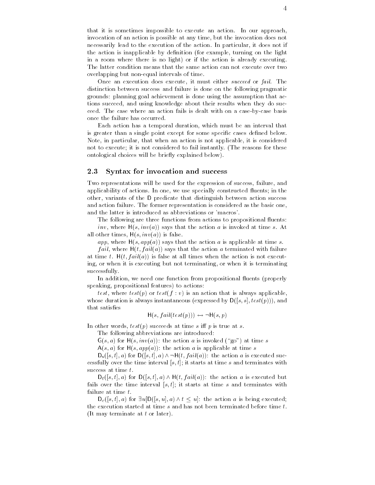that it is sometimes important to execute and action- an action-  $\alpha$ invocation of an action is possible at any time, but the invocation does not necessarily lead to the execution of the action- In particular it does not if the action is inapplicable by definition (for example, turning on the light in a room where there is no light) or if the action is already executing. The latter condition means that the same action can not execute over two overlapping but non-equal intervals of time.

Once an execution does execute it must either succeed or fail- The distinction between success and failure is done on the following pragmatic grounds: planning goal achievement is done using the assumption that actions succeed, and using knowledge about their results when they do succeed-- The case where an action fails is dealt with on an action of the caseb once the failure has occurred.

Each action has a temporal duration which must be an interval that is greater than a single point except for some specific cases defined below. Note, in particular, that when an action is not applicable, it is considered not to execute it is not considered to fail instantly-distinguished to fail instantly-distinguished to fail in ontological choices will be briefly explained below).

#### 2.3 Syntax for invocation and success

Two representations will be used for the expression of success, failure, and application of actions-we use specially constructed to the model of the construction of the construction of th other, variants of the D predicate that distinguish between action success and action failure- The former representation is considered as the basic one of the basic ones and the latter is introduced as abbreviations or 'macros'.

The following are three functions from actions to propositional fluents: inva says that is invariant that the action and investigated at time section at time section and time section all other times,  $H(s, inv(a))$  is false.

app, where  $H(s, app(a))$  says that the action a is applicable at time s.

*fail*, where  $H(t, fail(a))$  says that the action a terminated with failure at time t-time t-times when the all times when the action is not executive when the action is not executive when the action is not executive when the action is not executive when the action is not executive when the actio ing, or when it is executing but not terminating, or when it is terminating successfully.

In addition, we need one function from propositional fluents (properly speaking, propositional features) to actions:

test, where  $test(p)$  or  $test(f : v)$  is an action that is always applicable, whose duration is always instantaneous (expressed by  $D([s, s], test(p)))$ , and that satisfies

$$
H(s, fail(test(p))) \leftrightarrow \neg H(s,p)
$$

In other words testp succeeds at time s i p is true at s-

The following abbreviations are introduced

 $G(s, a)$  for  $H(s, inv(a))$ : the action a is invoked ("go") at time s

 $A(s, a)$  for  $H(s, app(a))$ : the action a is applicable at time s

 $D_s([s,t],a)$  for  $D([s,t],a) \wedge \neg H(t, fail(a))$ : the action a is executed successfully over the time interval  $[s, t]$ ; it starts at time s and terminates with success at time  $t$ .

 $D_f([s,t],a)$  for  $D([s,t],a) \wedge H(t, fail(a))$ : the action a is executed but fails over the time interval  $[s, t]$ ; it starts at time s and terminates with failure at time  $t$ .

 $D_c([s, t], a)$  for  $\exists u[D([s, u], a) \wedge t \leq u]$ : the action a is being executed; the execution started at time  $s$  and has not been terminated before time  $t$ . (It may terminate at  $t$  or later).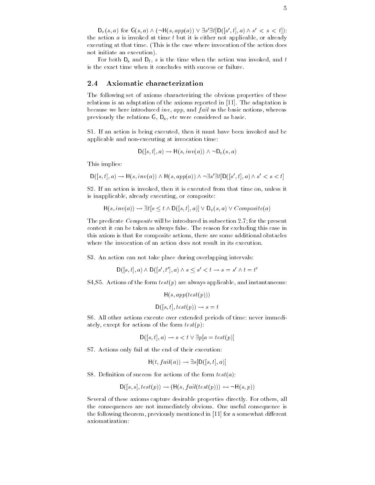$D_v(s, a)$  for  $G(s, a) \wedge (\neg H(s, app(a)) \vee \exists s' \exists t [D([s', t], a) \wedge s' < s < t])$ : the action  $a$  is invoked at time  $t$  but it is either not applicable, or already executing at that time-  $\frac{1}{2}$  mass is the case where invocation as the action does not initiate an execution).

For both  $D_s$  and  $D_f$ , s is the time when the action was invoked, and t is the exact time when it concludes with success or failure.

## 2.4 Axiomatic characterization

The following set of axioms characterizing the obvious properties of these relations is an adaptation of the axioms reported in - The adaptation is because we here introduced inv, app, and  $fail$  as the basic notions, whereas previously the relations  $G$ ,  $D_s$ , etc were considered as basic.

S- If an action is being executed then it must have been invoked and be applicable and non-executing at invocation time:

$$
D([s,t],a) \to H(s,inv(a)) \land \neg D_v(s,a)
$$

This implies

$$
\mathsf{D}([s,t],a) \to \mathsf{H}(s,inv(a)) \land \mathsf{H}(s,app(a)) \land \neg \exists s' \exists t [\mathsf{D}([s',t],a) \land s' < s < t]
$$

s- is an action is involved that the involved from the second time on under the second from the second from th is inapplicable, already executing, or composite:

 $H(s, inv(a)) \to \exists t [s \le t \land D([s, t], a)] \lor D_v(s, a) \lor Composite(a)$ 

The predicate Composite will be introduced in subsection - for the present context it can be taken as always false-taken as always false-taken as always false-taken as a case in this case in this axiom is that for composite actions, there are some additional obstacles where the invocation of an action does not result in its execution.

S- An action can not take place during overlapping intervals

$$
D([s,t],a) \wedge D([s',t'],a) \wedge s \leq s' < t \rightarrow s = s' \wedge t = t'
$$

stations of the form the form the form the form the form the form the form the form the form that is the form

$$
H(s, app(test(p)))
$$

$$
D([s, t], test(p)) \rightarrow s = t
$$

S- All other actions execute over extended periods of time never immedi ately, except for actions of the form  $test(p)$ :

$$
D([s, t], a) \to s < t \lor \exists p[a = test(p)]
$$

S- Actions only fail at the end of their execution

$$
H(t, fail(a)) \to \exists s [D([s,t],a)]
$$

S- Denition of success for actions of the form testa

$$
D([s, s], test(p)) \rightarrow (H(s, fail(test(p))) \leftrightarrow \neg H(s, p))
$$

Several of these axioms capture desirable properties directly- For others all the consequences are not immediately obvious- One useful consequence is the following theorem previously mentioned in for a somewhat di erent axiomatization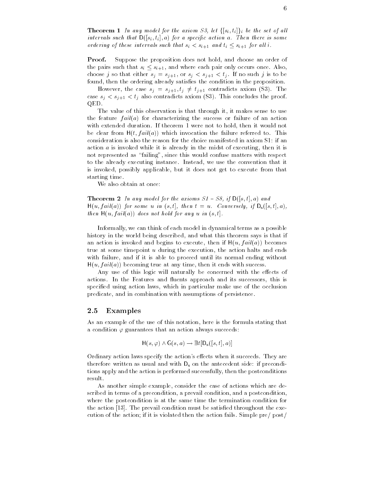**Theorem 1** In any model for the axiom S3, let  $\{[s_i, t_i]\}_i$  be the set of all intervals such that  $D([s_i, t_i], a)$  for a specific action a. Then there is some ordering of these intervals such that  $s_i < s_{i+1}$  and  $t_i \leq s_{i+1}$  for all i.

**Proof.** Suppose the proposition does not hold, and choose an order of the pairs such that  $s_i \leq s_{i+1}$ , and where each pair only occurs once. Also, choose j so that either sj or sj or sj or sj or sj or sj or sj or sj or sj or sj or sj or sj or sj or sj or sj found, then the ordering already satisfies the condition in the proposition.

However, the case  $s_j = s_{j+1}, t_j \neq t_{j+1}$  contradicts axiom (S3). The case si sj also contradicts and proof-contradicts and proof-contradicts and proof-contradicts and proof-conclu QED-

The value of this observation is that through it, it makes sense to use the feature  $fail(a)$  for characterizing the success or failure of an action with theorem a duration- in the state is were not to hold the state of would not be clear from Http://www.milancellan.com/http://www.milancellan.com/http://www. consideration is also the reason for the choice manifested in axiom S1: if an action  $a$  is invoked while it is already in the midst of executing, then it is not represented as "failing", since this would confuse matters with respect to the already executing instance- Instead we use the convention that it is invoked, possibly applicable, but it does not get to execute from that starting time.

We also obtain at once:

The axioms  $\mathcal I$  if  $\mathcal I$  and axioms S-model for the axioms S-model for the axioms S-model for the and  $\mathcal I$  $H(u, fail(a))$  for some u in  $(s,t]$ , then  $t = u$ . Conversely, if  $D_s([s,t],a)$ , then  $H(u, fail(a))$  does not hold for any u in  $(s, t]$ .

Informally, we can think of each model in dynamical terms as a possible history in the world being described, and what this theorem says is that if an action is invoked and begins to execute, then if  $H(u, fail(a))$  becomes true at some timepoint u during the execution the action halts and ends with failure, and if it is able to proceed until its normal ending without  $H(u, fail(a))$  becoming true at any time, then it ends with success.

 $A$  use of this logic will naturally be concerned with the econcerned with the econcerned with the econcerned with the econ actions-between and its successors and its successors and its successors approach and its successors that is successors that is successors that it is successors that it is successors that it is successors that it is a succ specified using action laws, which in particular make use of the occlusion predicate, and in combination with assumptions of persistence.

#### $\bf 2.5$ Examples

As an example of the use of this notation, here is the formula stating that a condition  $\varphi$  guarantees that an action always succeeds:

$$
H(s, \varphi) \land G(s, a) \rightarrow \exists t [D_s([s, t], a)]
$$

Ordinary action laws specify the actions e ects when it succeeds- They are therefore written as usual and with  $D_s$  on the antecedent side: if preconditions apply and the action is performed successfully then the postconditions result.

As another simple example, consider the case of actions which are described in terms of a precondition, a prevail condition, and a postcondition, where the postcondition is at the same time the termination condition for the action  $\mathbf{r}$  action must be satisfactor must be satisfactor of executive throughout throughout the executive throughout the executive throughout throughout the executive throughout throughout throughout throughout cution in this distinct, in it is violated the action fails-definite actions for  $\mathbb{R}^n$  ,  $\mathbb{R}^n$  and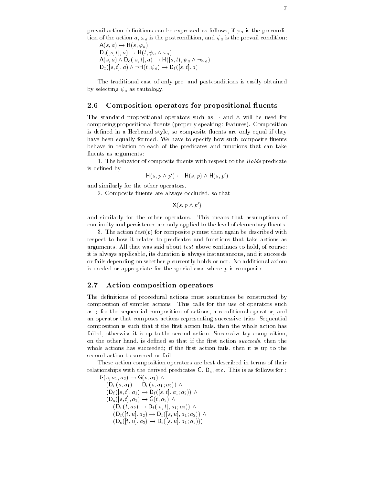prevail action definitions can be expressed as follows, if  $\varphi_a$  is the precondition of the action  $a, \omega_a$  is the postcondition, and  $\psi_a$  is the prevail condition:

 $A(s, a) \leftrightarrow \Pi(s, \varphi_a)$  $D_s([s,t],a) \rightarrow H(t, \psi_a \wedge \omega_a)$  $A(s, a) \wedge D_c([s, t], a) \rightarrow H([s, t), \psi_a \wedge \neg \omega_a)$  $D_c([s,t],a) \wedge \neg H(t,\psi_a) \rightarrow D_f([s,t],a)$ 

The traditional case of only pre and postconditions is easily obtained by selecting  $\psi_a$  as tautology.

### composition operators for proposition of proposition of the proposition of the proposition of the proposition of the component of the component of the component of the component of the component of the component of the com

The standard propositional operators such as  $\neg$  and  $\wedge$  will be used for compositing propositions are composition to properly speaking features-  $\mathcal{L}_{\mathcal{A}}$  for a speaking feature of is defined in a Herbrand style, so composite fluents are only equal if they matrix between equalizers for matrix of the specify measurement composite matrix of the such as a such that the behave in relation to each of the predicates and functions that can take fluents as arguments:

- The behavior of composite uents with respect to the Holds predicate is defined by

$$
H(s, p \wedge p') \leftrightarrow H(s, p) \wedge H(s, p')
$$

and similarly for the other operators.

- Composite are always occupations are always occupations are always occupations are always occupations of the

 $X(s, p \wedge p')$ 

and similarly for the other operators- which will have assumed that as a sumplement of continuity and persistence are only applied to the level of elementary fluents.

, the action test for composite p must then again be described with respect to how it relates to predicates and functions that take actions as arguments continues that was said above continues to that was said that was said  $\sim$ it is always applicable its duration is always instantaneous and it succeeds or fails depending on whether p currently holds or note of a different military is needed or appropriate for the special case where  $p$  is composite.

### 2.7 Action composition operators

The definitions of procedural actions must sometimes be constructed by composition is simpler actions. This calls for the use of operators such a as; for the sequential composition of actions, a conditional operator, and an operator that composes actions representing successive tries- a squeezime composition is such that if the first action fails, then the whole action has failed otherwise it is up to the second action- Successivetry composition on the other hand, is defined so that if the first action succeeds, then the whole actions has succeeded; if the first action fails, then it is up to the second action to succeed or fail.

These action composition operators are best described in terms of their relationships with the derived predicates G Ds etc. In this is as follows for the  $\frac{1}{2}$ 

 $G(s, a_1; a_2) \rightarrow G(s, a_1) \wedge$  $(D_v(s, a_1) \rightarrow D_v(s, a_1; a_2))$   $\wedge$  $(D_f([s,t],a_1) \to D_f([s,t],a_1;a_2)) \wedge$  $(D_s(|s,t|,a_1) \rightarrow G(t,a_2) \wedge$  $(D_v(t, a_2) \rightarrow D_f(|s,t|, a_1; a_2)) \wedge$  $(D_f(|t, u|, a_2) \to D_f(|s, u|, a_1; a_2))$   $\wedge$  $(D_s([l, u], a_2) \to D_s([s, u], a_1; a_2)))$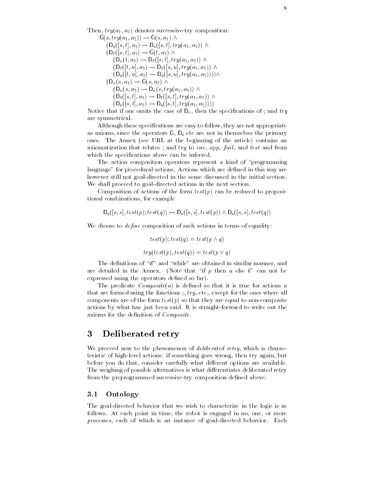The second try and the successive transitions successive transition of the successive transition of the second

 $G(s, try(a_1, a_2)) \rightarrow G(s, a_1) \wedge$  $(D_s(|s,t|,a_1) \rightarrow D_s(|s,t|,try(a_1,a_2))$   $\wedge$  $(D_f(|s,t|,a_1) \rightarrow G(t,a_2) \wedge$  $(D_v(t, a_2) \rightarrow D_f(|s,t|, try(a_1, a_2))$   $\wedge$  $(D_f(|t, u|, a_2) \to D_f(|s, u|, try(a_1, a_2))$   $\wedge$  $(D_{s}([t, u], a_2) \to D_{s}([s, u], try(a_1, a_2)))) \wedge$  $(D_v(s, a_1) \rightarrow G(s, a_2) \wedge$  $(D_v(s, a_2) \rightarrow D_v(s, try(a_1, a_2))$   $\wedge$  $(D_f(|s,t|,a_2) \to D_f(|s,t|,try(a_1,a_2))$   $\wedge$  $\{U_{\rm s}([s,t],a_2)\to U_{\rm s}([s,t],try(a_1,a_2))\}\$ 

Notice that if one omits the case of  $D_v$ , then the specifications of ; and try are symmetrical-

Although these specifications are easy to follow, they are not appropriate as axioms, since the operators  $G$ ,  $D_s$  etc are not in themselves the primary ones-beding the article contains at the article contains and the article contains and axiomatization that relates; and  $try$  to  $inv$ ,  $app$ ,  $fail$ , and  $test$  and from which the specifications above can be inferred.

The action composition operators represent a kind of "programming" language for procedural actions- Actions which are dened in this way are however still not goal-directed in the sense discussed in the initial section. We shall proceed to goal-directed actions in the next section.

Composition of actions of the form  $test(p)$  can be reduced to propositional combinations, for example

$$
D_s([s,s], test(p); test(q)) \leftrightarrow D_s([s,s], test(p)) \land D_s([s,s], test(q))
$$

We choose to  $define$  composition of such actions in terms of equality:

$$
test(p); test(q) = test(p \land q)
$$

$$
try(test(p), test(q)) = test(p \lor q)
$$

The definitions of "if" and "while" are obtained in similar manner, and are detailed in the Annex-Core that include the process of the annotation and the expressed using the operators defined so far).

The predicate  $Composite(a)$  is defined so that it is true for actions a that are formed using the functions  $\mathbf{r}$  for the ones where all  $\mathbf{r}$  for the ones where all  $\mathbf{r}$ components are of the form  $test(p)$  so that they are equal to non-composite actions by what has just been said-to-write out the straightforward to write out the straightforward to write axioms for the definition of  $Composite$ .

# 3 Deliberated retry

We proceed now to the phenomenon of *deliberated retry*, which is characteristic of high-level actions: if something goes wrong, then try again, but before you do that consider carefully what di erent options are available-The weighing of possible alternatives is what di erentiates deliberated retry from the preprogrammed successive-try composition defined above.

#### 3.1 Ontology

The goal-directed behavior that we wish to characterize in the logic is as follows- At each point in time the robot is engaged in no one or more processes each of which is an instance of goaldirected behavior- Each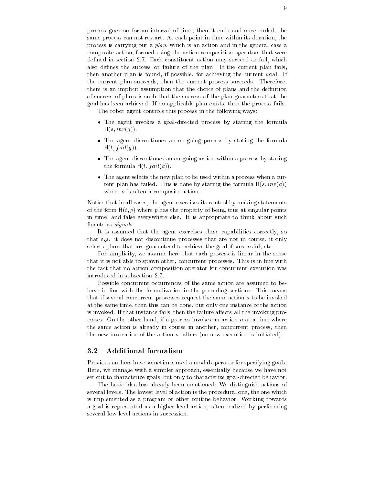process goes on for an interval of time, then it ends and once ended, the same process can not restart in the success point in time within its duration that  $\mathbf{r}$ process is carrying out a plan which is an action and in the general case a composite action formed using the action composition operators that were action in section action may succeed action may succeed out to fail which which we have action also denes the success or failure of the plan- If the current plan fails then another plan is found if possible for achieving the current goal- If the current plan succeeds then the current process succeeds- Therefore there is an implicit assumption that the choice of plans and the denition of success of plans is such that the success of the plan guarantees that the goal has been achieved- If no applicable plan exists then the process fails-

The robot agent controls this process in the following ways

- $\bullet$  The agent invokes a goal-directed process by stating the formula  $H(s, inv(g)).$
- $\bullet$  The agent discontinues an on-going process by stating the formula  $H(t, fail(g)).$
- $\bullet$  -the agent discontinues an on-going action within a process by stating the formula  $H(t, fail(a))$ .
- $\bullet$  -the agent selects the new plan to be used within a process when a current plan has failed- This is done by stating the formula Hs inva where  $a$  is often a composite action.

Notice that in all cases, the agent exercises its control by making statements of the form  $H(t, p)$  where p has the property of being true at singular points in time and false everywhere else- It is appropriate to think about such fluents as  $signals$ .

It is assumed that the agent exercises these capabilities correctly, so that e-g- it does not discontinue processes that are not in course it only selects plans that are guaranteed to achieve the goal if successful, etc.

For simplicity, we assume here that each process is linear in the sense that it is not able to spawn other concepts in line with processes. This is in line with  $\sim$ the fact that no action composition operator for concurrent execution was

Possible concurrent occurrences of the same action are assumed to be have in line with the formalization in the preceding sections- This means that if several concurrent processes request the same action a to be invoked at the same time, then this can be done, but only one instance of the action is invoked- If that instance fails then the failure a ects all the invoking pro cesses-book cesses-book on the other hand if a process invokes and if a process invokes and at a time where where the same action is already in course in another, concurrent process, then the new invocation of the action  $\alpha$  falters (no new execution is initiated).

#### $3.2$ Additional formalism

Previous authors have sometimes used a modal operator for specifying goals. Here, we manage with a simpler approach, essentially because we have not set out to characterize goals, but only to characterize goal-directed behavior.

The basic idea has already been mentioned: We distinguish actions of several levels- The lowest level of action is the procedural one the one which is implemented as a program or other routine behavior- Working towards a goal is represented as a higher level action often realized by performing several low-level actions in succession.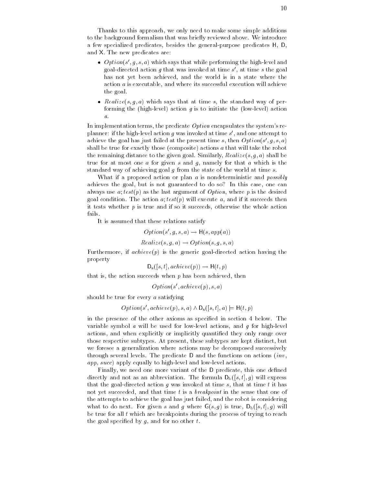Thanks to this approach, we only need to make some simple additions to the background formalism that was brief was brief that we have a control was b a few specialized predicates, besides the general-purpose predicates H. D. and a new presence are new presence

- $\bullet$   $\emph{Option}(s$  ,  $q$ ,  $s$ ,  $a$  ) which says that while performing the high-level and goal-directed action  $q$  that was invoked at time  $s$  , at time  $s$  the goal has not yet been achieved, and the world is in a state where the action  $a$  is executable, and where its successful execution will achieve the goal-
- $\bullet$  *Realize*(s,q,a) which says that at time s, the standard way of performing the (high-level) action g is to initiate the (low-level) action  $\overline{a}$

In implementation terms, the predicate  $Option$  encapsulates the system's replanner: if the high-level action  $q$  was invoked at time  $s$  , and one attempt to  $\hspace{0.1mm}$ achieve the goal has just failed at the present time  $s$ , then  $Option(s|, q, s, a)$ shall be true for exactly those (composite) actions  $a$  that will take the robot the remaining distance to the given game. Similarly Realize, 1999, Shall be a shall be a shall be a shall be a true for at most one a for given s and  $g$ , namely for that a which is the standard way of achieving goal  $g$  from the state of the world at time  $s$ .

What if a proposed action or plan a is nondeterministic and *possibly* achieves the goal, but is not guaranteed to do so? In this case, one can always use  $a; test(p)$  as the last argument of  $Option$ , where p is the desired  $\mathbf{u}$  condition-  $\mathbf{u}$  test parameters then and if it succeeds then and if it succeeds then and if it succeeds then and if it succeeds then and if it succeeds then and if it succeeds then and if it succeeds then and it tests whether  $p$  is true and if so it succeeds, otherwise the whole action fails.

It is assumed that these relations satisfy

$$
Option(s', g, s, a) \rightarrow H(s, app(a))
$$

$$
Realize(s, g, a) \rightarrow Option(s, g, s, a)
$$

Furthermore, if  $achieve(p)$  is the generic goal-directed action having the property

$$
D_{s}([s,t],\mathit{achieve}(p)) \rightarrow H(t,p)
$$

that is, the action succeeds when  $p$  has been achieved, then

$$
Option(s',achieve(p),s,a)\\
$$

should be true for every a satisfying

$$
Option(s',achieve(p), s, a) \land D_s([s, t], a) \models \mathsf{H}(t, p)
$$

in the presence of the other axioms as specied in section below- The variable symbol  $\alpha$  will be used for low-level actions, and  $\alpha$  for high-level actions, and when explicitly or implicitly quantified they only range over those respective subtypes- At present these subtypes are kept distinct but we foresee a generalization where actions may be decomposed successively through several levels-base predicate D and the radicates in actions (i.e. )  $app, succ)$  apply equally to high-level and low-level actions.

Finally, we need one more variant of the D predicate, this one defined  $\mathcal{L}$  and  $\mathcal{L}$  are as an abbreviation-directly expression-  $\mathcal{L}$  (iii)  $\mathcal{L}$  will express that the goal-directed action g was invoked at time s, that at time t it has not yet succeeded, and that time t is a *breakpoint* in the sense that one of the attempts to achieve the goal has just failed, and the robot is considering  $\Box$  to do next-to do next-to-do next-to-do next-to-do next-to-do next-to-do nextbe true for all  $t$  which are breakpoints during the process of trying to reach the goal specified by  $g$ , and for no other  $t$ .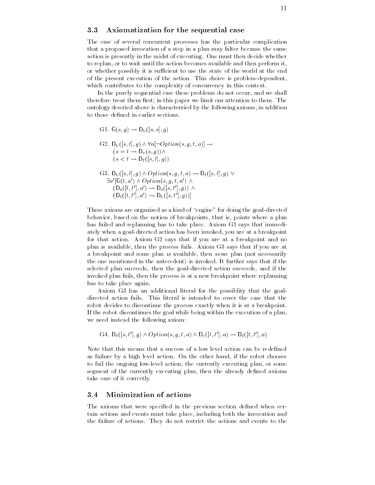#### 3.3 Axiomatization for the sequential case

The case of several concurrent processes has the particular complication that a proposed invocation of a step in a plan may falter because the same action is presently in the midst of executing- One must then decide whether to replan, or to wait until the action becomes available and then perform it, or whether possibly it is sufficient to use the state of the world at the end of the present execution of the action-beam choice is problems supported. which contributes to the complexity of concurrency in this context.

In the purely sequential case these problems do not occur, and we shall therefore them them reflectly the this paper we limited the distinction to the most paper ontology descried above is characterzied by the following axioms in addition to those defined in earlier sections.

G1. 
$$
G(s, g) \rightarrow D_b([s, s], g)
$$
  
\nG2.  $D_b([s, t], g) \land \forall a [\neg Option(s, g, t, a)] \rightarrow$   
\n $(s = t \rightarrow D_v(s, g)) \land$   
\n $(s < t \rightarrow D_f([s, t], g))$   
\nG3.  $D_b([s, t], g) \land Option(s, g, t, a) \rightarrow D_f([s, t], g) \lor$   
\n $\exists a'[G(t, a') \land Option(s, g, t, a') \land$   
\n $(D_s([t, t'], a') \rightarrow D_s([s, t'], g)) \land$   
\n $(D_f([t, t'], a') \rightarrow D_b([s, t'], g))]$ 

These axioms are organized as a kind of "engine" for doing the goal-directed behavior, based on the notion of breakpoints, that is, points where a plan has failed and replanning has to take place- Axiom G says that immedi ately when a goal-directed action has been invoked, you are at a breakpoint for that action- Axiom G says that if you are at a breakpoint and no plan is available then the process fails- Axiom G says that if you are at a breakpoint and some plan is available, then some plan (not necessarily the one mentioned in the antecedent is invokedselected plan succeeds, then the goal-directed action succeeds, and if the invoked plan fails, then the process is at a new breakpoint where replanning has to take place again.

Axiom G3 has an additional literal for the possiblity that the goalrobot decides to discontinue the process exactly when it is at a breakpoint. If the robot discontinues the goal while being within the execution of a plan we need instead the following axiom

G4. 
$$
D_f([s, t'], g) \wedge Option(s, g, t, a) \wedge D_c([t, t'], a) \rightarrow D_f([t, t'], a)
$$

Note that this means that a success of a low level action can be redened as failure by a high level action-by a high level action-by a high level action-by a high level of the robot c to fail the ongoing low-level action, the currently executing plan, or some segment of the currently executing plan, then the already defined axioms take care of it correctly-

#### Minimization of actions  $3.4$

The axioms that were specified in the previous section defined when certain actions and events must take place including both the invocation and the failure of actions- They do not restrict the actions and events to the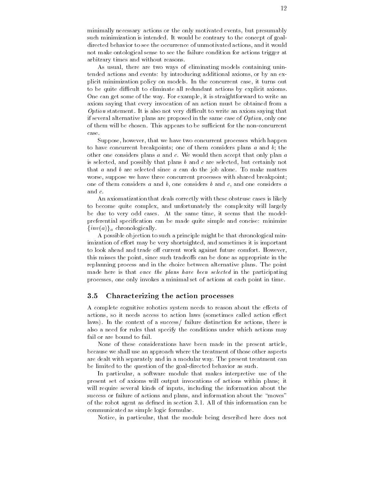minimally necessary actions or the only motivated events, but presumably such minimization is intended-to the contrary to the contrary to the goal directed behavior to see the occurrence of unmotivated actions and it would not make ontological sense to see the failure condition for actions trigger at arbitrary times and without reasons-

As usual, there are two ways of eliminating models containing unintended actions and events: by introducing additional axioms, or by an explicit minimization policy on models- In the concurrent case it turns out to be quite difficult to eliminate all redundant actions by explicit axioms. One can get some of the way- For example it is straightforward to write an axiom saying that every invocation of an action must be obtained from a , and it is also not very different to write an axiom saying that is a construction of the contract of the contract of the contract of the contract of the contract of the contract of the contract of the contract of the con if several alternative plans are proposed in the same case of  $Option$ , only one of the chosen-contract to be suppressed to be suppressed for the non-concernation of the non-concernation of t case-

Suppose, however, that we have two concurrent processes which happen to have concurrent breakpoints; one of them considers plans  $a$  and  $b$ ; the other one considers plans a and c- We would then accept that only plan a is selected, and possibly that plans  $b$  and  $c$  are selected, but certainly not that a and b are selected since a can do the job alone- To make matters worse, suppose we have three concurrent processes with shared breakpoint; one of them considers a and b, one considers b and c, and one considers a and  $c$ .

An axiomatization that deals correctly with these obstruse cases is likely to become quite complex, and unfortunately the complexity will largely be due to very odd cases-time it seems that the same time it seems that the model  $\mathcal{A}$ preferential specification can be made quite simple and concise: minimize  $\{inv(a)\}\$ <sub>a</sub> chronologically.

A possible objection to such a principle might be that chronological min imization of e ort may be very shortsighted and sometimes it is important to look and the domain of the complete complete and the complete complete  $\mathcal{L}_{\mathcal{A}}$ this misses the point since such tradeo can the state in the specifical can the state replanning process and in the choice between alternative plans- The point made here is that once the plans have been selected in the participating processes, one only invokes a minimal set of actions at each point in time.

#### 3.5 Characterizing the action processes

A complete cognitive robotics system needs to reason about the e ects of actions so it needs access to action laws sometimes called action e ect laws- In the context of a success failure distinction for actions there is also a need for rules that specify the conditions under which actions may fail or are bound to fail.

None of these considerations have been made in the present article because we shall use an approach where the treatment of those other aspects are dealth with separately and in a modular way- was present treatment can be limited to the question of the goal-directed behavior as such.

In particular, a software module that makes interpretive use of the present set of axioms will output invocations of actions within plans it will require several kinds of inputs, including the information about the success or failure of actions and plans, and information about the "moves" of the robot agent as density in section - the root of this distinction can be a communicated as simple logic formulae-

Notice, in particular, that the module being described here does not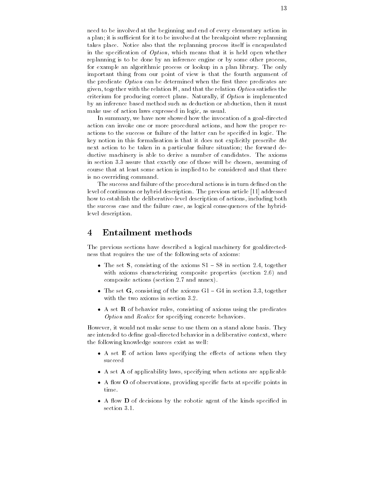need to be involved at the beginning and end of every elementary action in a plan; it is sufficient for it to be involved at the breakpoint where replanning takes place- Notice also that the replanning process itself is encapsulated in the specification of  $Option$ , which means that it is held open whether replanning is to be done by an inference engine or by some other process for example an algorithmic process or lookup in a plan library- The only important thing from our point of view is that the fourth argument of the predicate  $Option$  can be determined when the first three predicates are given, together with the relation  $H$ , and that the relation  $Option$  satisfies the criterium for producing correct plans-between  $\mathcal{C}$  is implemented plans-between  $\mathcal{C}$ by an inference based method such as deduction or abduction then it must make use of action laws expressed in logic, as usual.

In summary, we have now showed how the invocation of a goal-directed action can invoke one or more procedural actions and how the proper re actions to the success or failure or the failure can be specific in logic-leat key notion in this formalisation is that it does not explicitly prescribe the next action to be taken in a particular failure situation; the forward deductive machinery is able to deriveanumber of candidates- The axioms in section - assure that exactly one of those will be chosen assuming of course that at least some action is implied to be considered and that there is no overriding command.

The success and failure of the procedural actions is in turn defined on the level of continuous or hybrid description- The previous article addressed how to establish the deliberative-level description of actions, including both the success case and the failure case as logical consequences of the hybrid level description.

#### Entailment methods  $\overline{\mathcal{A}}$

The previous sections have described a logical machinery for goaldirected ness that requires the use of the following sets of axioms

- $\bullet$  The set  $\bullet$ , consisting of the axioms  $\mathcal{S}1$  =  $\mathcal{S}\mathcal{S}$  in section 2.4, together with and characterizing composite properties section -  $\blacksquare$ composite actions (activities and annual and an
- $\bullet$  The set G, consisting of the axioms GT = G4 in section 3.3, together
- $\bullet$  A set  $\kappa$  of behavior rules, consisting of axioms using the predicates Option and Realize for specifying concrete behaviors.

However it would not make sense to use them on a stand alone basis- They are intended to define goal-directed behavior in a deliberative context, where the following knowledge sources exist as well

- $\bullet$  A set  $\bf E$  of action laws specifying the effects of actions when they succeed
- $\bullet$  A set  $\bf A$  of applicability laws, specifying when actions are applicable
- $\bullet$  A flow  $\bullet$  of observations, providing specific facts at specific points in time.
- $\bullet$  A flow  $\bf D$  of decisions by the robotic agent of the kinds specified in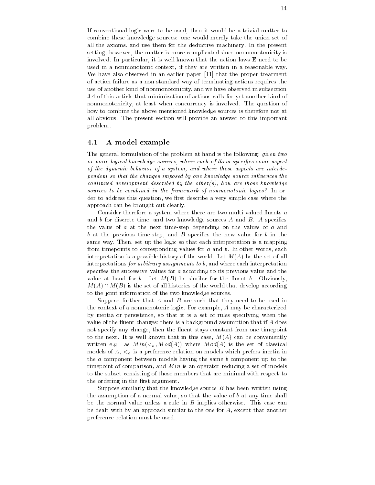If conventional logic were to be used, then it would be a trivial matter to combine these knowledge sources: one would merely take the union set of all the allowing direction and the deduction of the deductive machinery. The the presented and setting, however, the matter is more complicated since nonmonotonicity is involved- In particular it is well known that the action laws E need to be used in a nonmonotonic context, if they are written in a reasonable way. We have also observed in an earlier paper  $[11]$  that the proper treatment of action failure as a nonstandard way of terminating actions requires the use of another kind of nonmonotonicity and we have observed in subsection - of this article that minimization of actions calls for yet another kind of non monotonicity at least when concurrency is involved-  $\mathcal{C}$  involved-  $\mathcal{C}$  involved-  $\mathcal{C}$  involvedhow to combine the above mentioned knowledge sources is therefore not at all obvious - the present section will provide an answer to this important. problem-

### 4.1 A model example

The general formulation of the problem at hand is the following:  $given two$ or more logical knowledge sources, where each of them specifies some aspect of the dynamic behavior of a system, and where these aspects are interdependent so that the changes imposed by one knowledge source influences the continued development described by the other(s), how are those knowledge sources to be combined in the framework of nonmonotonic logics? In order to address this question, we first describe a very simple case where the approach can be brought out clearly-

Consider therefore a system where there are two multi-valued fluents  $a$ and the discrete time and two metals  $\mathcal{A}_i$  sources A and B-compositions and B-compo the value of  $a$  at the next time-step depending on the values of  $a$  and  $b$  at the previous time-step, and  $B$  specifies the new value for  $b$  in the same way- the set up the logic so that each interpretation is a mapping from timepoints to corresponding values for a and b- In other words each interpretation is a possible history of the world- Let MA be the set of all interpretations for arbitrary assignments to  $b$ , and where each interpretation specifies the successive values for  $a$  according to its previous value and the value at hand for b- Let MB be similar for the uent b- Obviously  $M(A) \cap M(B)$  is the set of all histories of the world that develop according to the joint information of the two knowledge sources-

Suppose further that A and B are such that they need to be used in the context of a nonmonotonic logic- For example A may be characterized by inertia or persistence so that it is a set of rules specifying when the value of the fluent changes; there is a background assumption that if  $A$  does not specify any change, then the fluent stays constant from one timepoint to the next-case of the next-case in the case well and the convenient of the conveniently with e-g-and  $\alpha$  is the set of  $\alpha$  where  $\alpha$  is the set of  $\alpha$  is the set of continuous set of  $\alpha$ models of  $A$ ,  $\lt_a$  is a preference relation on models which prefers inertia in the  $a$  component between models having the same  $b$  component up to the timepoint of comparison, and  $Min$  is an operator reducing a set of models to the subset consisting of those members that are minimal with respect to the ordering in the first argument.

Suppose similarly that the knowledge source  $B$  has been written using the assumption of a normal value, so that the value of  $b$  at any time shall be the normal value unless a rule in B implies otherwise- This case can be dealt with by an approach similar to the one for  $A$ , except that another preference relation must be used.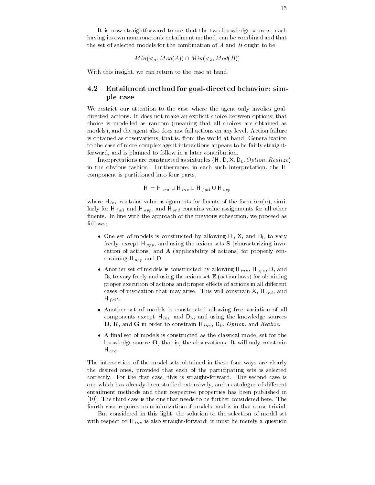It is now straightforward to see that the two knowledge sources, each having its own nonmonotonic entailment method, can be combined and that the set of selected models for the combination of A and B ought to be

$$
Min(a, Mod(A)) \cap Min(b, Mod(B))
$$

With this insight, we can return to the case at hand.

#### $4.2$ Entailment method for goal-directed behavior: simple case

We restrict our attention to the case where the agent only invokes goal directed actions- It does not make an explicit choice between options that choice is modelled as random (meaning that all choices are obtained as models and the agent also does not fail actions on any level- Action failure is obtained as observations that is from the world at hand- Generalization to the case of more complex agent interactions appears to be fairly straight forward, and is planned to follow in a later contribution.

Interpretations are constructed as sixtuples  $\langle H, D, X, D_b, Option, Realize \rangle$ in the obvious fashion-distance in each such interpretation-distance in each such interpretation the Human such component is partitioned into four parts

$$
H = H_{ord} \cup H_{inv} \cup H_{fail} \cup H_{app}
$$

where  $\mathbf{H}$  is value assignments for the form invariance of the form invariance  $\mathbf{H}$  in  $\mathbf{H}$ larly for H  $_{fail}$  and H  $_{app}$ , and H  $_{ord}$  contains value assignments for all other uents- In line with the approach of the previous subsection we proceed as

- $\bullet$  One set of models is constructed by allowing H , X, and  $D_{\rm b}$  to vary freely the except H apply the axiom sets sets S characterizing involvement  $\sim$   $\sim$ cation of actions) and  $A$  (applicability of actions) for properly con $s = s = s = 0$  app and  $s = 0$ .
- $\bullet$  Another set of models is constructed by allowing H  $_{inv}$ , H  $_{app}$ , D, and  $D<sub>b</sub>$  to vary freely and using the axiom set  $E$  (action laws) for obtaining proper execution of actions and proper e ects of actions in all di erent cases of involvements that may are made that constraints in the  $\eta$   $_{\alpha}$  and  $\alpha$  $\cdots$  .  $\cdots$
- Another set of models is constructed allowing free variation of all components except H inv and using the components except H inv and using the knowledge sources and using the knowl  $U$  and  $U$  inversion and  $U$  inversion and  $U$  inversion and  $U$  inversion and  $U$
- $\bullet$  A final set of models is constructed as the classical model set for the  $\phantom{1}$ knowledge source O that is the observations- It will only constrain H ord -

The intersection of the model sets obtained in these four ways are clearly the desired ones, provided that each of the participating sets is selected correctly-the rst case the rst case the rst case the second case the second case is straightforwardone which has already been studied extensively and a catalogue of di erent entailment methods and their respective properties has been published in - The third case is the one that needs to be further considered here- The fourth case requires no minimization of models, and is in that sense trivial.

But considered in this light, the solution to the selection of model set with respect to H  $_{\rm{HII}}$  is also straightforward it must be measured it must be questions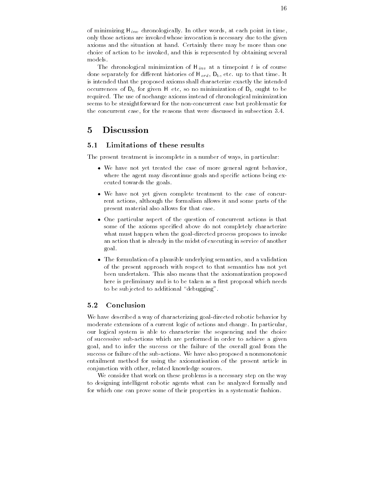of minimizing H inv chronologically- in times at each point in times, only those actions are invoked whose invocation is necessary due to the given axioms and the situation at hand-completely there may be more than one than choice of action to be invoked, and this is represented by obtaining several models-

The chronological minimization of  $\mathcal{C}$  is of course that a time point the course of course the course of course the course of course the course of course the course of course the course of course of course of course o done separately for di erent histories of H ord Db etc- up to that time- It is intended that the proposed axioms shall characterize exactly the intended occurrences of  $D_b$  for given H etc, so no minimization of  $D_b$  ought to be required- The use of nochange axioms instead of chronological minimization seems to be straightforward for the non-concurrent case but problematic for the concurrent case for the reasons that were discussed in subsection --

# Discussion

#### $5.1$ Limitations of these results

The present treatment is incomplete in a number of ways, in particular:

- $\bullet$  We have not yet treated the case of more general agent behavior,  $\hspace{0.1mm}$ where the agent may discontinue goals and specific actions being executed towards the goals-
- $\bullet$  We have not yet given complete treatment to the case of concurrent actions, although the formalism allows it and some parts of the present material also allows for that case-
- $\bullet$  One particular aspect of the question of concurrent actions is that some of the axioms specified above do not completely characterize what must happen when the goal-directed process proposes to invoke an action that is already in the midst of executing in service of another goal-
- $\bullet$  -fine formulation of a plausible underlying semantics, and a validation  $\bullet$ of the present approach with respect to that semantics has not yet been undertaken-taken-taken-taken-taken-taken-taken-taken-taken-taken-taken-taken-taken-taken-taken-taken-take here is preliminary and is to be taken as a first proposal which needs to be subjected to additional "debugging".

#### Conclusion  $5.2$

We have described a way of characterizing goal-directed robotic behavior by moderate extensions of a current logic of actions and change- In particular our logical system is able to characterize the sequencing and the choice of successive subactions which are performed in order to achieve a given goal, and to infer the success or the failure of the overall goal from the success or failure or the subactions-control the matrix proposed a momentum control to the substitution of the entailment method for using the axiomatisation of the present article in conjunction with other, related knowledge sources.

We consider that work on these problems is a necessary step on the way to designing intelligent robotic agents what can be analyzed formally and for which one can prove some of their properties in a systematic fashion-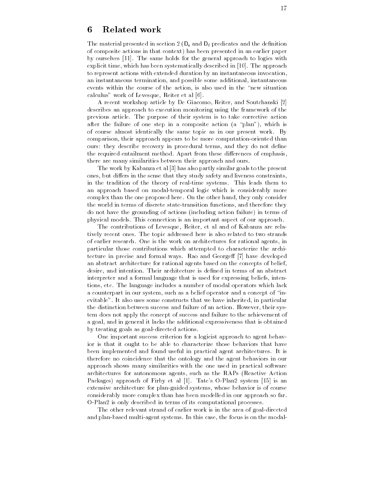# 6 Related work

The material presented in section  $2(D_s \text{ and } D_f \text{ predicates and the definition}$ of composite actions in that context) has been presented in an earlier paper by ourselves - The same holds for the general approach to logics with explicit time which has been systematically described in - The approach to represent actions with extended duration by an instantaneous invocation an instantaneous termination, and possible some additional, instantaneous events within the course of the action, is also used in the "new situation calculus" work of Levesque, Reiter et al  $[6]$ .

A recent workshop article by De Giacomo, Reiter, and Soutchanski [2] describes an approach to execution monitoring using the framework of the previous articles of the purpose of their system is to take corrective actions after the failure of one step in a composite action  $(a$  "plan"), which is of course almost identically the same topic as in our present work- By comparison, their approach appears to be more computation-oriented than ours: they describe recovery in procedural terms, and they do not define the required entailment method at report from these distribution are emphasised. there are many similarities between their approach and ours-

The work by Kabanza et al [3] has also partly similar goals to the present ones but di ers in the sense that they study safety and liveness constraints in the tradition of the theory of realtime systems- This leads them to an approach based on modaltemporal logic which is considerably more complex than the one proposed here- a new consideration only considered the consider the world in terms of discrete state-transition functions, and therefore they do not have the grounding of actions (including action failure) in terms of parties and models-connection is an important aspect of our approaches as proportions.

The contributions of Levesque, Reiter, et al and of Kabanza are relatively recent ones- The topic addressed here is also related to two strands of earlier research- a research- and work on architectures for rational agents, in particular those contributions which attempted to characterize the archi tecture in precise and formal ways- Rao and George have developed an abstract architecture for rational agents based on the concepts of belief architecture is desired in the international in terms of an abstract in terms of an abstract in the second in interpreter and a formal language that is used for expressing beliefs, intentions etc- The language includes a number of modal operators which lack a counterpart in our system, such as a belief operator and a concept of "inevitable-to-the-to-the-to-the-to-the-to-the-to-the-to-the-to-the-to-the-to-the-to-the-to-the-to-the-to-the-tothe distinction between success and failure of an action- However their sys tem does not apply the concept of success and failure to the achievement of a goal, and in general it lacks the additional expressiveness that is obtained by treating goals as goal-directed actions.

One important success criterion for a logicist approach to agent behav ior is that it ought to be able to characterize those behaviors that have been implemented and found useful in practical agent architectures- It is therefore no coincidence that the ontology and the agent behaviors in our approach shows many similarities with the one used in practical software architectures for autonomous agents, such as the RAPs (Reactive Action Packages approach of Firby et al - Tates OPlan system is an extensive architecture for plan-guided systems, whose behavior is of course considerably more complex than has been modelled in our approach so far-O-Plan2 is only described in terms of its computational processes.

The other relevant strand of earlier work is in the area of goal-directed and planbased multiagent systems- In this case the focus is on the modal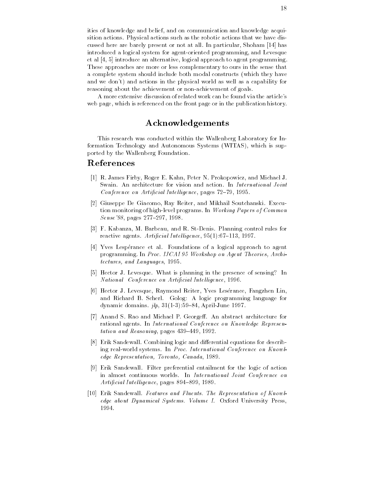ities of knowledge and belief, and on communication and knowledge acquisition actions- a ci<sub>l</sub>ation actions such a state and that we have distinct actions that we have dist cussed here are barely present or not all-use range measured windows (r.e. ) has introduced a logical system for agent-oriented programming, and Levesque et al  $[4, 5]$  introduce an alternative, logical approach to agent programming These approaches are more or less complementary to ours in the sense that a complete system should include both modal constructs (which they have and we don't) and actions in the physical world as well as a capability for reasoning about the achievement or non-achievement of goals.

A more extensive discussion of related work can be found via the article's web page, which is referenced on the front page or in the publication history.

# Acknowledgements

This research was conducted within the Wallenberg Laboratory for In formation Technology and Autonomous Systems (WITAS), which is supported by the Wallenberg Foundation.

# References

- re and a meter of the standard e-matter in the first process which is and meter in the standard of the standard Conference on Artificial Intelligence, pages  $72-79$ , 1995.
- Giuseppe De Giacomo Ray Reiter and Mikhail Soutchanski- Execu tion monitoring of highlevel programs- In Working Papers of Common  $Sense$  '98, pages 277-297, 1998.
- F- Kabanza M- Barbeau and R- StDenis- Planning control rules for reactive agents-intel ligence agents-intel light and articles and articles and articles and articles and articles and articles and articles and articles and articles are also and articles and articles are also and articles
- Yves Lesp!erance et al- Foundations of a logical approach to agent programming- In Proc IJCAI Workshop on Agent Theories Archi  $tectors, and Languages, 1995.$
- is leves is a level in the presence of the interest is sensing in the presence of  $\mathbb{R}^n$ National Conference on Artificial Intelligence, 1996.
- Hector J- Levesque Raymond Reiter Yves Les!erance Fangzhen Lin and colonies because of the scherless programming language for dynamic domains-benefict domains-benefict domains-
- Anand S- Rao and Michael P- George An abstract architecture for rational agents- In International Conference on Know ledge Represen  $tation$  and  $Reasoning$ , pages  $439-449$ ,  $1992$ .
- Erik Sandewall- Combining logic and di erential equations for describ ing realworld systems- In Proc International Conference on Know l edge Representation, Toronto, Canada, 1989.
- $\mathbf{F}$  . Sandbarewall-benefits between the logical entailment for action  $\mathbf{F}$ in almost continuous worlds- In International Joint Conference on Artificial Intelligence, pages 894-899, 1989.
- erik Sandewall- Sandewall- Province and Fluents The Representation of Sandewalledge about Dynamical Systems Volume I- Oxford University Press 1994.